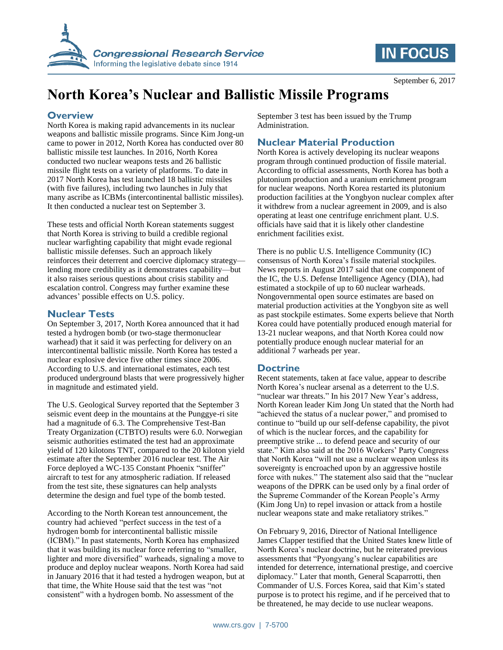



# **North Korea's Nuclear and Ballistic Missile Programs**

## **Overview**

North Korea is making rapid advancements in its nuclear weapons and ballistic missile programs. Since Kim Jong-un came to power in 2012, North Korea has conducted over 80 ballistic missile test launches. In 2016, North Korea conducted two nuclear weapons tests and 26 ballistic missile flight tests on a variety of platforms. To date in 2017 North Korea has test launched 18 ballistic missiles (with five failures), including two launches in July that many ascribe as ICBMs (intercontinental ballistic missiles). It then conducted a nuclear test on September 3.

These tests and official North Korean statements suggest that North Korea is striving to build a credible regional nuclear warfighting capability that might evade regional ballistic missile defenses. Such an approach likely reinforces their deterrent and coercive diplomacy strategy lending more credibility as it demonstrates capability—but it also raises serious questions about crisis stability and escalation control. Congress may further examine these advances' possible effects on U.S. policy.

### **Nuclear Tests**

On September 3, 2017, North Korea announced that it had tested a hydrogen bomb (or two-stage thermonuclear warhead) that it said it was perfecting for delivery on an intercontinental ballistic missile. North Korea has tested a nuclear explosive device five other times since 2006. According to U.S. and international estimates, each test produced underground blasts that were progressively higher in magnitude and estimated yield.

The U.S. Geological Survey reported that the September 3 seismic event deep in the mountains at the Punggye-ri site had a magnitude of 6.3. The Comprehensive Test-Ban Treaty Organization (CTBTO) results were 6.0. Norwegian seismic authorities estimated the test had an approximate yield of 120 kilotons TNT, compared to the 20 kiloton yield estimate after the September 2016 nuclear test. The Air Force deployed a WC-135 Constant Phoenix "sniffer" aircraft to test for any atmospheric radiation. If released from the test site, these signatures can help analysts determine the design and fuel type of the bomb tested.

According to the North Korean test announcement, the country had achieved "perfect success in the test of a hydrogen bomb for intercontinental ballistic missile (ICBM)." In past statements, North Korea has emphasized that it was building its nuclear force referring to "smaller, lighter and more diversified" warheads, signaling a move to produce and deploy nuclear weapons. North Korea had said in January 2016 that it had tested a hydrogen weapon, but at that time, the White House said that the test was "not consistent" with a hydrogen bomb. No assessment of the

September 3 test has been issued by the Trump Administration.

# **Nuclear Material Production**

North Korea is actively developing its nuclear weapons program through continued production of fissile material. According to official assessments, North Korea has both a plutonium production and a uranium enrichment program for nuclear weapons. North Korea restarted its plutonium production facilities at the Yongbyon nuclear complex after it withdrew from a nuclear agreement in 2009, and is also operating at least one centrifuge enrichment plant. U.S. officials have said that it is likely other clandestine enrichment facilities exist.

There is no public U.S. Intelligence Community (IC) consensus of North Korea's fissile material stockpiles. News reports in August 2017 said that one component of the IC, the U.S. Defense Intelligence Agency (DIA), had estimated a stockpile of up to 60 nuclear warheads. Nongovernmental open source estimates are based on material production activities at the Yongbyon site as well as past stockpile estimates. Some experts believe that North Korea could have potentially produced enough material for 13-21 nuclear weapons, and that North Korea could now potentially produce enough nuclear material for an additional 7 warheads per year.

## **Doctrine**

Recent statements, taken at face value, appear to describe North Korea's nuclear arsenal as a deterrent to the U.S. "nuclear war threats." In his 2017 New Year's address, North Korean leader Kim Jong Un stated that the North had "achieved the status of a nuclear power," and promised to continue to "build up our self-defense capability, the pivot of which is the nuclear forces, and the capability for preemptive strike ... to defend peace and security of our state." Kim also said at the 2016 Workers' Party Congress that North Korea "will not use a nuclear weapon unless its sovereignty is encroached upon by an aggressive hostile force with nukes." The statement also said that the "nuclear weapons of the DPRK can be used only by a final order of the Supreme Commander of the Korean People's Army (Kim Jong Un) to repel invasion or attack from a hostile nuclear weapons state and make retaliatory strikes."

On February 9, 2016, Director of National Intelligence James Clapper testified that the United States knew little of North Korea's nuclear doctrine, but he reiterated previous assessments that "Pyongyang's nuclear capabilities are intended for deterrence, international prestige, and coercive diplomacy." Later that month, General Scaparrotti, then Commander of U.S. Forces Korea, said that Kim's stated purpose is to protect his regime, and if he perceived that to be threatened, he may decide to use nuclear weapons.